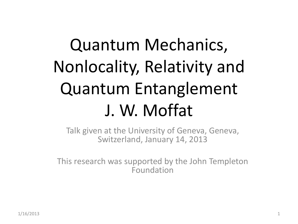# Quantum Mechanics, Nonlocality, Relativity and Quantum Entanglement J. W. Moffat

Talk given at the University of Geneva, Geneva, Switzerland, January 14, 2013

This research was supported by the John Templeton Foundation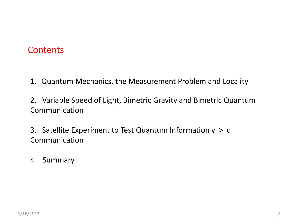#### **Contents**

- 1. Quantum Mechanics, the Measurement Problem and Locality
- 2. Variable Speed of Light, Bimetric Gravity and Bimetric Quantum Communication
- 3. Satellite Experiment to Test Quantum Information v > c Communication
- 4 Summary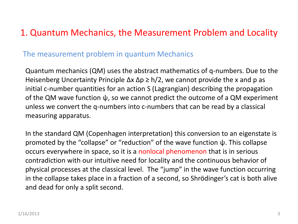## 1. Quantum Mechanics, the Measurement Problem and Locality

#### The measurement problem in quantum Mechanics

Quantum mechanics (QM) uses the abstract mathematics of q-numbers. Due to the Heisenberg Uncertainty Principle  $\Delta x \Delta p \ge h/2$ , we cannot provide the x and p as initial c-number quantities for an action S (Lagrangian) describing the propagation of the QM wave function  $\psi$ , so we cannot predict the outcome of a QM experiment unless we convert the q-numbers into c-numbers that can be read by a classical measuring apparatus.

In the standard QM (Copenhagen interpretation) this conversion to an eigenstate is promoted by the "collapse" or "reduction" of the wave function ψ. This collapse occurs everywhere in space, so it is a nonlocal phenomenon that is in serious contradiction with our intuitive need for locality and the continuous behavior of physical processes at the classical level. The "jump" in the wave function occurring in the collapse takes place in a fraction of a second, so Shrödinger's cat is both alive and dead for only a split second.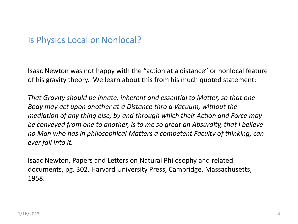#### Is Physics Local or Nonlocal?

Isaac Newton was not happy with the "action at a distance" or nonlocal feature of his gravity theory. We learn about this from his much quoted statement:

*That Gravity should be innate, inherent and essential to Matter, so that one Body may act upon another at a Distance thro a Vacuum, without the mediation of any thing else, by and through which their Action and Force may be conveyed from one to another, is to me so great an Absurdity, that I believe no Man who has in philosophical Matters a competent Faculty of thinking, can ever fall into it.* 

Isaac Newton, Papers and Letters on Natural Philosophy and related documents, pg. 302. Harvard University Press, Cambridge, Massachusetts, 1958.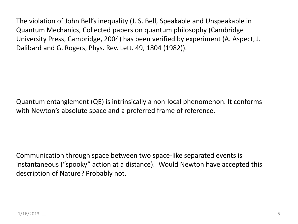The violation of John Bell's inequality (J. S. Bell, Speakable and Unspeakable in Quantum Mechanics, Collected papers on quantum philosophy (Cambridge University Press, Cambridge, 2004) has been verified by experiment (A. Aspect, J. Dalibard and G. Rogers, Phys. Rev. Lett. 49, 1804 (1982)).

Quantum entanglement (QE) is intrinsically a non-local phenomenon. It conforms with Newton's absolute space and a preferred frame of reference.

Communication through space between two space-like separated events is instantaneous ("spooky" action at a distance). Would Newton have accepted this description of Nature? Probably not.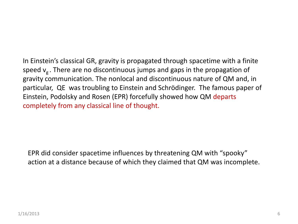In Einstein's classical GR, gravity is propagated through spacetime with a finite speed  $v<sub>g</sub>$ . There are no discontinuous jumps and gaps in the propagation of gravity communication. The nonlocal and discontinuous nature of QM and, in particular, QE was troubling to Einstein and Schrödinger. The famous paper of Einstein, Podolsky and Rosen (EPR) forcefully showed how QM departs completely from any classical line of thought.

EPR did consider spacetime influences by threatening QM with "spooky" action at a distance because of which they claimed that QM was incomplete.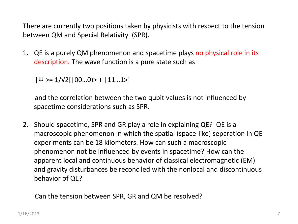There are currently two positions taken by physicists with respect to the tension between QM and Special Relativity (SPR).

1. QE is a purely QM phenomenon and spacetime plays no physical role in its description. The wave function is a pure state such as

 $|\Psi \rangle = 1/\sqrt{2}$ [ $|00...0\rangle$  +  $|11...1\rangle$ ]

 and the correlation between the two qubit values is not influenced by spacetime considerations such as SPR.

2. Should spacetime, SPR and GR play a role in explaining QE? QE is a macroscopic phenomenon in which the spatial (space-like) separation in QE experiments can be 18 kilometers. How can such a macroscopic phenomenon not be influenced by events in spacetime? How can the apparent local and continuous behavior of classical electromagnetic (EM) and gravity disturbances be reconciled with the nonlocal and discontinuous behavior of QE?

Can the tension between SPR, GR and QM be resolved?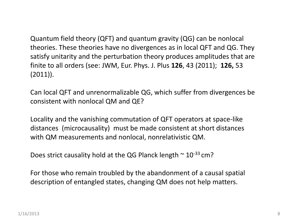Quantum field theory (QFT) and quantum gravity (QG) can be nonlocal theories. These theories have no divergences as in local QFT and QG. They satisfy unitarity and the perturbation theory produces amplitudes that are finite to all orders (see: JWM, Eur. Phys. J. Plus **126**, 43 (2011); **126,** 53 (2011)).

Can local QFT and unrenormalizable QG, which suffer from divergences be consistent with nonlocal QM and QE?

Locality and the vanishing commutation of QFT operators at space-like distances (microcausality) must be made consistent at short distances with QM measurements and nonlocal, nonrelativistic QM.

Does strict causality hold at the QG Planck length  $\sim 10^{-33}$  cm?

For those who remain troubled by the abandonment of a causal spatial description of entangled states, changing QM does not help matters.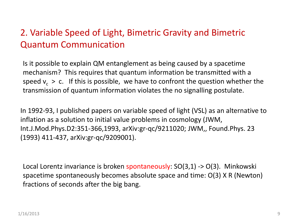## 2. Variable Speed of Light, Bimetric Gravity and Bimetric Quantum Communication

Is it possible to explain QM entanglement as being caused by a spacetime mechanism? This requires that quantum information be transmitted with a speed  $v_c > c$ . If this is possible, we have to confront the question whether the transmission of quantum information violates the no signalling postulate.

In 1992-93, I published papers on variable speed of light (VSL) as an alternative to inflation as a solution to initial value problems in cosmology (JWM, Int.J.Mod.Phys.D2:351-366,1993, arXiv:gr-qc/9211020; JWM,, Found.Phys. 23 (1993) 411-437, arXiv:gr-qc/9209001).

Local Lorentz invariance is broken spontaneously: SO(3,1) -> O(3). Minkowski spacetime spontaneously becomes absolute space and time: O(3) X R (Newton) fractions of seconds after the big bang.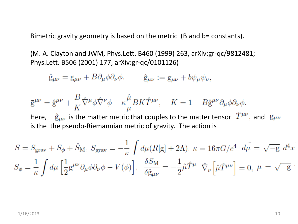Bimetric gravity geometry is based on the metric (B and b= constants).

(M. A. Clayton and JWM, Phys.Lett. B460 (1999) 263, arXiv:gr-qc/9812481; Phys.Lett. B506 (2001) 177, arXiv:gr-qc/0101126)

 $\hat{g}_{\mu\nu} = g_{\mu\nu} + B \partial_{\mu} \phi \partial_{\nu} \phi$ .  $\hat{g}_{\mu\nu} := g_{\mu\nu} + b \psi_{\mu} \psi_{\nu}$ .

$$
\overline{g}^{\mu\nu} = \hat{g}^{\mu\nu} + \frac{B}{K} \hat{\nabla}^{\mu} \phi \hat{\nabla}^{\nu} \phi - \kappa \frac{\hat{\mu}}{\mu} B K \hat{T}^{\mu\nu} \qquad K = 1 - B \hat{g}^{\mu\nu} \partial_{\mu} \phi \partial_{\nu} \phi.
$$
  
Here,  $\hat{g}_{\mu\nu}$  is the matter metric that couples to the matter tensor  $\hat{T}^{\mu\nu}$  and  $g_{\mu\nu}$  is the pseudo-Riemannian metric of gravity. The action is

$$
S = S_{\text{grav}} + S_{\phi} + \hat{S}_{\text{M}}, \ S_{\text{grav}} = -\frac{1}{\kappa} \int d\mu (R[\mathbf{g}] + 2\Lambda), \ \kappa = 16\pi G/c^4 \ d\mu = \sqrt{-g} \ d^4x
$$
  

$$
S_{\phi} = \frac{1}{\kappa} \int d\mu \left[ \frac{1}{2} \mathbf{g}^{\mu\nu} \partial_{\mu}\phi \partial_{\nu}\phi - V(\phi) \right], \ \ \frac{\delta S_{\text{M}}}{\delta \hat{\mathbf{g}}_{\mu\nu}} = -\frac{1}{2} \hat{\mu} \hat{T}^{\mu} \ \hat{\nabla}_{\nu} \left[ \hat{\mu} \hat{T}^{\mu\nu} \right] = 0, \ \mu = \sqrt{-g}
$$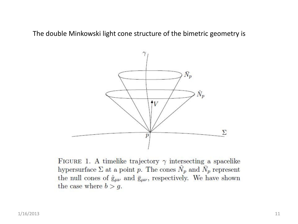The double Minkowski light cone structure of the bimetric geometry is



FIGURE 1. A timelike trajectory  $\gamma$  intersecting a spacelike hypersurface  $\Sigma$  at a point p. The cones  $\hat{N}_p$  and  $\bar{N}_p$  represent the null cones of  $\hat{g}_{\mu\nu}$  and  $\bar{g}_{\mu\nu}$ , respectively. We have shown the case where  $b > g$ .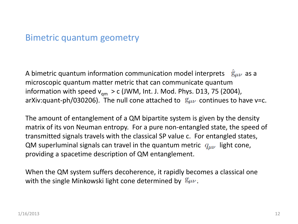#### Bimetric quantum geometry

A bimetric quantum information communication model interprets  $\hat{g}_{\mu\nu}$  as a microscopic quantum matter metric that can communicate quantum information with speed  $v_{qm} > c$  (JWM, Int. J. Mod. Phys. D13, 75 (2004), arXiv:quant-ph/030206). The null cone attached to  $g_{\mu\nu}$  continues to have v=c.

The amount of entanglement of a QM bipartite system is given by the density matrix of its von Neuman entropy. For a pure non-entangled state, the speed of transmitted signals travels with the classical SP value c. For entangled states, QM superluminal signals can travel in the quantum metric  $q_{\mu\nu}$  light cone, providing a spacetime description of QM entanglement.

When the QM system suffers decoherence, it rapidly becomes a classical one with the single Minkowski light cone determined by  $g_{\mu\nu}$ .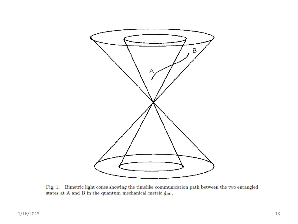

Fig. 1. Bimetric light cones showing the timelike communication path between the two entangled states at A and B in the quantum mechanical metric  $\hat{g}_{\mu\nu}.$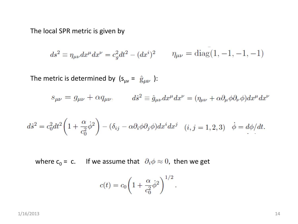The local SPR metric is given by

$$
ds^{2} \equiv \eta_{\mu\nu} dx^{\mu} dx^{\nu} = c_{g}^{2} dt^{2} - (dx^{i})^{2} \qquad \eta_{\mu\nu} = \text{diag}(1, -1, -1, -1)
$$

The metric is determined by  $(s_{\mu\nu} = \hat{g}_{\mu\nu})$ :

$$
s_{\mu\nu} = g_{\mu\nu} + \alpha q_{\mu\nu}, \qquad d\hat{s}^2 \equiv \hat{g}_{\mu\nu} dx^{\mu} dx^{\nu} = (\eta_{\mu\nu} + \alpha \partial_{\mu} \phi \partial_{\nu} \phi) dx^{\mu} dx^{\nu}
$$

$$
d\hat{s}^2 = c_0^2 dt^2 \left( 1 + \frac{\alpha}{c_0^2} \dot{\phi}^2 \right) - (\delta_{ij} - \alpha \partial_i \phi \partial_j \phi) dx^i dx^j \quad (i, j = 1, 2, 3) \quad \dot{\phi} = d\phi/dt.
$$

where  $c_0 = c$ . If we assume that  $\partial_i \phi \approx 0$ , then we get

$$
c(t) = c_0 \left( 1 + \frac{\alpha}{c_0^2} \dot{\phi}^2 \right)^{1/2}.
$$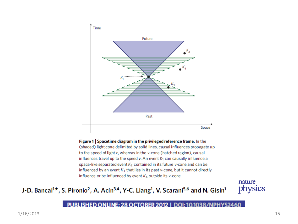

Figure 1 | Spacetime diagram in the privileged reference frame. In the (shaded) light cone delimited by solid lines, causal influences propagate up to the speed of light c, whereas in the v-cone (hatched region), causal influences travel up to the speed v. An event  $K_1$  can causally influence a space-like separated event K<sub>2</sub> contained in its future v-cone and can be influenced by an event  $K_3$  that lies in its past v-cone, but it cannot directly influence or be influenced by event  $K_4$  outside its v-cone.

#### J-D. Bancal<sup>1\*</sup>, S. Pironio<sup>2</sup>, A. Acín<sup>3,4</sup>, Y-C. Liang<sup>1</sup>, V. Scarani<sup>5,6</sup> and N. Gisin<sup>1</sup>



PUBLISHED ONLINE: 28 OCTOBER 2012 | DOI: 10.1038/NPHYS2460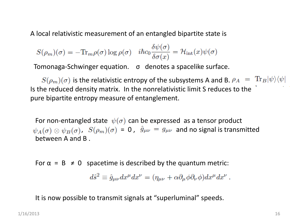A local relativistic measurement of an entangled bipartite state is

 $S(\rho_m)(\sigma) = -\text{Tr}_m \rho(\sigma) \log \rho(\sigma) \quad i\hbar c_0 \frac{\delta \psi(\sigma)}{\delta \sigma(x)} = \mathcal{H}_{\rm int}(x) \psi(\sigma)$ 

Tomonaga-Schwinger equation. σ denotes a spacelike surface.

 $S(\rho_m)(\sigma)$  is the relativistic entropy of the subsystems A and B.  $\rho_A = \text{Tr}_B |\psi\rangle\langle\psi|$ Is the reduced density matrix. In the nonrelativistic limit S reduces to the pure bipartite entropy measure of entanglement.

For non-entangled state  $\psi(\sigma)$  can be expressed as a tensor product  $\psi_A(\sigma) \otimes \psi_B(\sigma)$ ,  $S(\rho_m)(\sigma) = 0$ ,  $\hat{g}_{\mu\nu} = g_{\mu\nu}$  and no signal is transmitted between A and B .

For  $\alpha = B \neq 0$  spacetime is described by the quantum metric:

$$
d\hat{s}^2 \equiv \hat{g}_{\mu\nu} dx^{\mu} dx^{\nu} = (\eta_{\mu\nu} + \alpha \partial_{\mu} \phi \partial_{\nu} \phi) dx^{\mu} dx^{\nu}.
$$

It is now possible to transmit signals at "superluminal" speeds.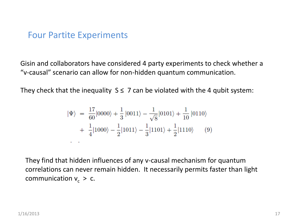#### Four Partite Experiments

Gisin and collaborators have considered 4 party experiments to check whether a "v-causal" scenario can allow for non-hidden quantum communication.

They check that the inequality  $S \leq 7$  can be violated with the 4 qubit system:

$$
|\Psi\rangle = \frac{17}{60}|0000\rangle + \frac{1}{3}|0011\rangle - \frac{1}{\sqrt{8}}|0101\rangle + \frac{1}{10}|0110\rangle
$$
  
+  $\frac{1}{4}|1000\rangle - \frac{1}{2}|1011\rangle - \frac{1}{3}|1101\rangle + \frac{1}{2}|1110\rangle$  (9)

They find that hidden influences of any v-causal mechanism for quantum correlations can never remain hidden. It necessarily permits faster than light communication  $v_c > c$ .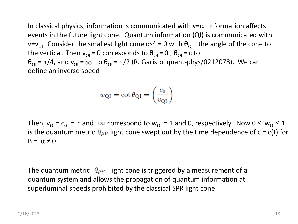In classical physics, information is communicated with v=c. Information affects events in the future light cone. Quantum information (QI) is communicated with  $v=v_{\text{QI}}$ . Consider the smallest light cone ds<sup>2</sup> = 0 with  $\theta_{\text{QI}}$  the angle of the cone to the vertical. Then  $v_{QI} = 0$  corresponds to  $\theta_{QI} = 0$ ,  $\theta_{QI} = c$  to  $\theta_{\text{QI}} = \pi/4$ , and  $v_{\text{QI}} = \infty$  to  $\theta_{\text{QI}} = \pi/2$  (R. Garisto, quant-phys/0212078). We can define an inverse speed

$$
w_{\rm QI} = \cot \theta_{\rm QI} = \left(\frac{c_0}{v_{\rm QI}}\right)
$$

Then,  $v_{QI}$  =  $c_0$  = c and  $\infty$  correspond to  $w_{QI}$  = 1 and 0, respectively. Now 0  $\leq w_{QI} \leq 1$ is the quantum metric  $q_{\mu\nu}$  light cone swept out by the time dependence of c = c(t) for  $B = \alpha \neq 0$ .

The quantum metric  $q_{\mu\nu}$  light cone is triggered by a measurement of a quantum system and allows the propagation of quantum information at superluminal speeds prohibited by the classical SPR light cone.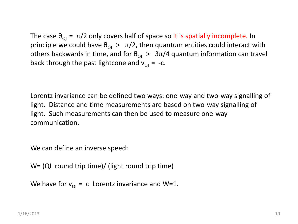The case  $\theta_{\text{OI}} = \pi/2$  only covers half of space so it is spatially incomplete. In principle we could have  $\theta_{\text{QI}} > \pi/2$ , then quantum entities could interact with others backwards in time, and for  $\theta_{\text{ol}} > 3\pi/4$  quantum information can travel back through the past lightcone and  $v_{\text{O}I}$  = -c.

Lorentz invariance can be defined two ways: one-way and two-way signalling of light. Distance and time measurements are based on two-way signalling of light. Such measurements can then be used to measure one-way communication.

We can define an inverse speed:

W= (QI round trip time)/ (light round trip time)

```
We have for v_{\text{o}i} = c Lorentz invariance and W=1.
```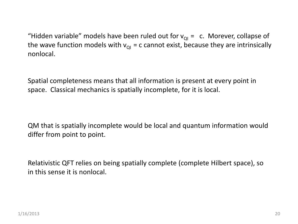"Hidden variable" models have been ruled out for  $v_{\text{o}I} = c$ . Morever, collapse of the wave function models with  $v_{\text{o}I}$  = c cannot exist, because they are intrinsically nonlocal.

Spatial completeness means that all information is present at every point in space. Classical mechanics is spatially incomplete, for it is local.

QM that is spatially incomplete would be local and quantum information would differ from point to point.

Relativistic QFT relies on being spatially complete (complete Hilbert space), so in this sense it is nonlocal.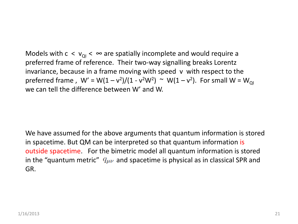Models with  $c < v_{\text{o}} < \infty$  are spatially incomplete and would require a preferred frame of reference. Their two-way signalling breaks Lorentz invariance, because in a frame moving with speed v with respect to the preferred frame ,  $W' = W(1 - v^2)/(1 - v^2W^2) \sim W(1 - v^2)$ . For small  $W = W_{Q}$ we can tell the difference between W' and W.

We have assumed for the above arguments that quantum information is stored in spacetime. But QM can be interpreted so that quantum information is outside spacetime. For the bimetric model all quantum information is stored in the "quantum metric"  $q_{\mu\nu}$  and spacetime is physical as in classical SPR and GR.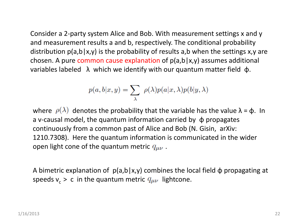Consider a 2-party system Alice and Bob. With measurement settings x and y and measurement results a and b, respectively. The conditional probability distribution  $p(a,b|x,y)$  is the probability of results a,b when the settings x,y are chosen. A pure common cause explanation of  $p(a,b|x,y)$  assumes additional variables labeled  $\lambda$  which we identify with our quantum matter field  $\phi$ .

$$
p(a, b|x, y) = \sum_{\lambda} \rho(\lambda) p(a|x, \lambda) p(b|y, \lambda)
$$

where  $\rho(\lambda)$  denotes the probability that the variable has the value  $\lambda = \phi$ . In a v-causal model, the quantum information carried by  $\phi$  propagates continuously from a common past of Alice and Bob (N. Gisin, arXiv: 1210.7308). Here the quantum information is communicated in the wider open light cone of the quantum metric  $q_{\mu\nu}$ .

A bimetric explanation of  $p(a,b|x,y)$  combines the local field  $\phi$  propagating at speeds  $v_c > c$  in the quantum metric  $q_{\mu\nu}$  lightcone.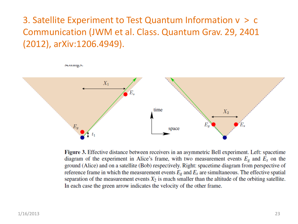# 3. Satellite Experiment to Test Quantum Information v > c Communication (JWM et al. Class. Quantum Grav. 29, 2401 (2012), arXiv:1206.4949).

scumgs.



Figure 3. Effective distance between receivers in an asymmetric Bell experiment. Left: spacetime diagram of the experiment in Alice's frame, with two measurement events  $E_g$  and  $E_s$  on the ground (Alice) and on a satellite (Bob) respectively. Right: spacetime diagram from perspective of reference frame in which the measurement events  $E_g$  and  $E_s$  are simultaneous. The effective spatial separation of the measurement events  $X_2$  is much smaller than the altitude of the orbiting satellite. In each case the green arrow indicates the velocity of the other frame.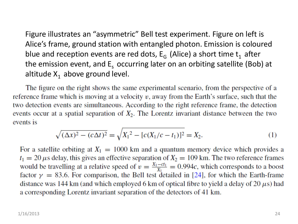Figure illustrates an "asymmetric" Bell test experiment. Figure on left is Alice's frame, ground station with entangled photon. Emission is coloured blue and reception events are red dots,  $E_G$  (Alice) a short time  $t_1$  after the emission event, and  $E<sub>s</sub>$  occurring later on an orbiting satellite (Bob) at altitude  $X_1$  above ground level.

The figure on the right shows the same experimental scenario, from the perspective of a reference frame which is moving at a velocity  $v$ , away from the Earth's surface, such that the two detection events are simultaneous. According to the right reference frame, the detection events occur at a spatial separation of  $X_2$ . The Lorentz invariant distance between the two events is

$$
\sqrt{(\Delta x)^2 - (c\Delta t)^2} = \sqrt{X_1^2 - [c(X_1/c - t_1)]^2} = X_2.
$$
\n(1)

For a satellite orbiting at  $X_1 = 1000$  km and a quantum memory device which provides a  $t_1 = 20 \,\mu$ s delay, this gives an effective separation of  $X_2 = 109 \,\text{km}$ . The two reference frames would be travelling at a relative speed of  $v = \frac{X_1 - ct_1}{X_1} = 0.994c$ , which corresponds to a boost factor  $\gamma = 83.6$ . For comparison, the Bell test detailed in [24], for which the Earth-frame distance was 144 km (and which employed 6 km of optical fibre to yield a delay of 20  $\mu$ s) had a corresponding Lorentz invariant separation of the detectors of 41 km.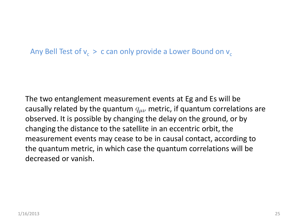Any Bell Test of  $\mathsf{v_c}\geq \mathsf{c}$  can only provide a Lower Bound on  $\mathsf{v_c}$ 

The two entanglement measurement events at Eg and Es will be causally related by the quantum  $q_{\mu\nu}$  metric, if quantum correlations are observed. It is possible by changing the delay on the ground, or by changing the distance to the satellite in an eccentric orbit, the measurement events may cease to be in causal contact, according to the quantum metric, in which case the quantum correlations will be decreased or vanish.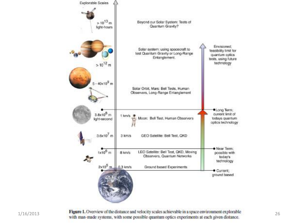



1/16/2013 **Figure 1.** Overview of the distance and velocity scales achievable in a space environment explorable <br>26 with man-made systems, with some possible quantum optics experiments at each given distance.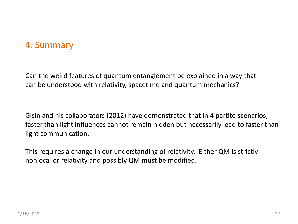## 4. Summary

Can the weird features of quantum entanglement be explained in a way that can be understood with relativity, spacetime and quantum mechanics?

Gisin and his collaborators (2012) have demonstrated that in 4 partite scenarios, faster than light influences cannot remain hidden but necessarily lead to faster than light communication.

This requires a change in our understanding of relativity. Either QM is strictly nonlocal or relativity and possibly QM must be modified.